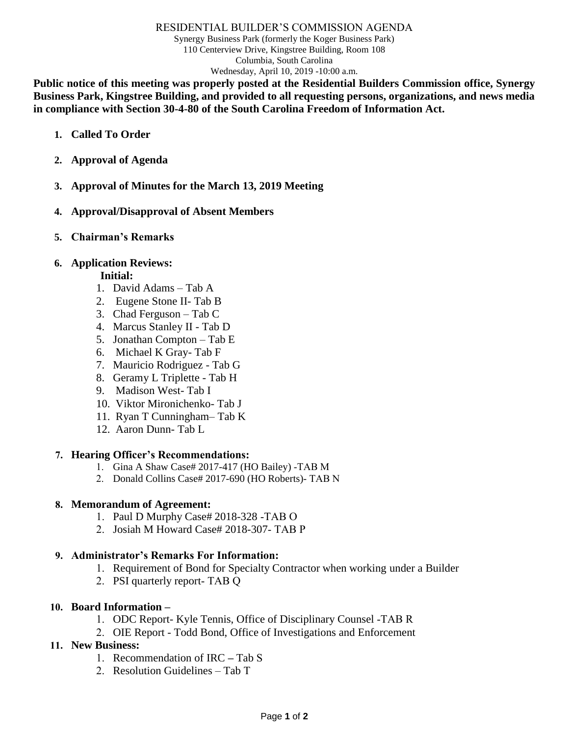#### RESIDENTIAL BUILDER'S COMMISSION AGENDA

Synergy Business Park (formerly the Koger Business Park) 110 Centerview Drive, Kingstree Building, Room 108 Columbia, South Carolina Wednesday, April 10, 2019 -10:00 a.m.

**Public notice of this meeting was properly posted at the Residential Builders Commission office, Synergy Business Park, Kingstree Building, and provided to all requesting persons, organizations, and news media in compliance with Section 30-4-80 of the South Carolina Freedom of Information Act.**

- **1. Called To Order**
- **2. Approval of Agenda**
- **3. Approval of Minutes for the March 13, 2019 Meeting**
- **4. Approval/Disapproval of Absent Members**
- **5. Chairman's Remarks**

## **6. Application Reviews:**

## **Initial:**

- 1. David Adams Tab A
- 2. Eugene Stone II- Tab B
- 3. Chad Ferguson Tab C
- 4. Marcus Stanley II Tab D
- 5. Jonathan Compton Tab E
- 6. Michael K Gray- Tab F
- 7. Mauricio Rodriguez Tab G
- 8. Geramy L Triplette Tab H
- 9. Madison West- Tab I
- 10. Viktor Mironichenko- Tab J
- 11. Ryan T Cunningham– Tab K
- 12. Aaron Dunn- Tab L

### **7. Hearing Officer's Recommendations:**

- 1. Gina A Shaw Case# 2017-417 (HO Bailey) -TAB M
- 2. Donald Collins Case# 2017-690 (HO Roberts)- TAB N

### **8. Memorandum of Agreement:**

- 1. Paul D Murphy Case# 2018-328 -TAB O
- 2. Josiah M Howard Case# 2018-307- TAB P

## **9. Administrator's Remarks For Information:**

- 1. Requirement of Bond for Specialty Contractor when working under a Builder
- 2. PSI quarterly report- TAB Q

### **10. Board Information –**

- 1. ODC Report- Kyle Tennis, Office of Disciplinary Counsel -TAB R
- 2. OIE Report Todd Bond, Office of Investigations and Enforcement

## **11. New Business:**

- 1. Recommendation of IRC **–** Tab S
- 2. Resolution Guidelines Tab T